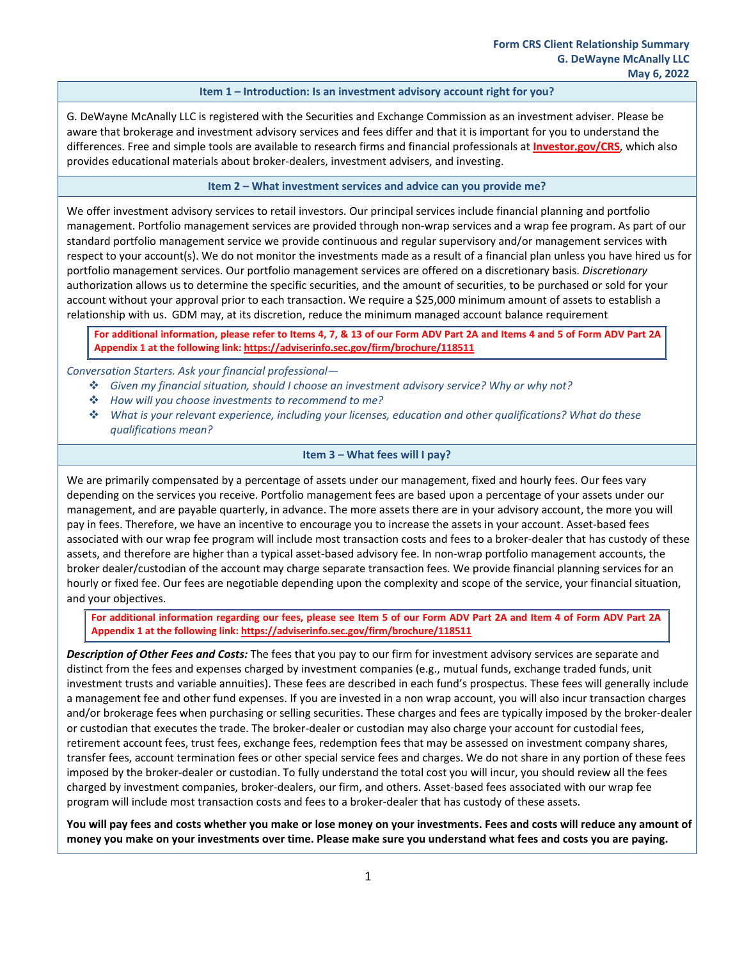## **Item 1 – Introduction: Is an investment advisory account right for you?**

G. DeWayne McAnally LLC is registered with the Securities and Exchange Commission as an investment adviser. Please be aware that brokerage and investment advisory services and fees differ and that it is important for you to understand the differences. Free and simple tools are available to research firms and financial professionals at **[Investor.gov/CRS](https://www.investor.gov/CRS)**, which also provides educational materials about broker-dealers, investment advisers, and investing.

#### **Item 2 – What investment services and advice can you provide me?**

We offer investment advisory services to retail investors. Our principal services include financial planning and portfolio management. Portfolio management services are provided through non-wrap services and a wrap fee program. As part of our standard portfolio management service we provide continuous and regular supervisory and/or management services with respect to your account(s). We do not monitor the investments made as a result of a financial plan unless you have hired us for portfolio management services. Our portfolio management services are offered on a discretionary basis. *Discretionary* authorization allows us to determine the specific securities, and the amount of securities, to be purchased or sold for your account without your approval prior to each transaction. We require a \$25,000 minimum amount of assets to establish a relationship with us. GDM may, at its discretion, reduce the minimum managed account balance requirement

**For additional information, please refer to Items 4, 7, & 13 of our Form ADV Part 2A and Items 4 and 5 of Form ADV Part 2A Appendix 1 at the following link[: https://adviserinfo.sec.gov/firm/brochure/118511](https://adviserinfo.sec.gov/firm/brochure/118511)**

*Conversation Starters. Ask your financial professional—*

- *Given my financial situation, should I choose an investment advisory service? Why or why not?*
- *How will you choose investments to recommend to me?*
- *What is your relevant experience, including your licenses, education and other qualifications? What do these qualifications mean?*

#### **Item 3 – What fees will I pay?**

We are primarily compensated by a percentage of assets under our management, fixed and hourly fees. Our fees vary depending on the services you receive. Portfolio management fees are based upon a percentage of your assets under our management, and are payable quarterly, in advance. The more assets there are in your advisory account, the more you will pay in fees. Therefore, we have an incentive to encourage you to increase the assets in your account. Asset-based fees associated with our wrap fee program will include most transaction costs and fees to a broker-dealer that has custody of these assets, and therefore are higher than a typical asset-based advisory fee. In non-wrap portfolio management accounts, the broker dealer/custodian of the account may charge separate transaction fees. We provide financial planning services for an hourly or fixed fee. Our fees are negotiable depending upon the complexity and scope of the service, your financial situation, and your objectives.

**For additional information regarding our fees, please see Item 5 of our Form ADV Part 2A and Item 4 of Form ADV Part 2A Appendix 1 at the following link:<https://adviserinfo.sec.gov/firm/brochure/118511>**

*Description of Other Fees and Costs:* The fees that you pay to our firm for investment advisory services are separate and distinct from the fees and expenses charged by investment companies (e.g., mutual funds, exchange traded funds, unit investment trusts and variable annuities). These fees are described in each fund's prospectus. These fees will generally include a management fee and other fund expenses. If you are invested in a non wrap account, you will also incur transaction charges and/or brokerage fees when purchasing or selling securities. These charges and fees are typically imposed by the broker-dealer or custodian that executes the trade. The broker-dealer or custodian may also charge your account for custodial fees, retirement account fees, trust fees, exchange fees, redemption fees that may be assessed on investment company shares, transfer fees, account termination fees or other special service fees and charges. We do not share in any portion of these fees imposed by the broker-dealer or custodian. To fully understand the total cost you will incur, you should review all the fees charged by investment companies, broker-dealers, our firm, and others. Asset-based fees associated with our wrap fee program will include most transaction costs and fees to a broker-dealer that has custody of these assets.

**You will pay fees and costs whether you make or lose money on your investments. Fees and costs will reduce any amount of money you make on your investments over time. Please make sure you understand what fees and costs you are paying.**